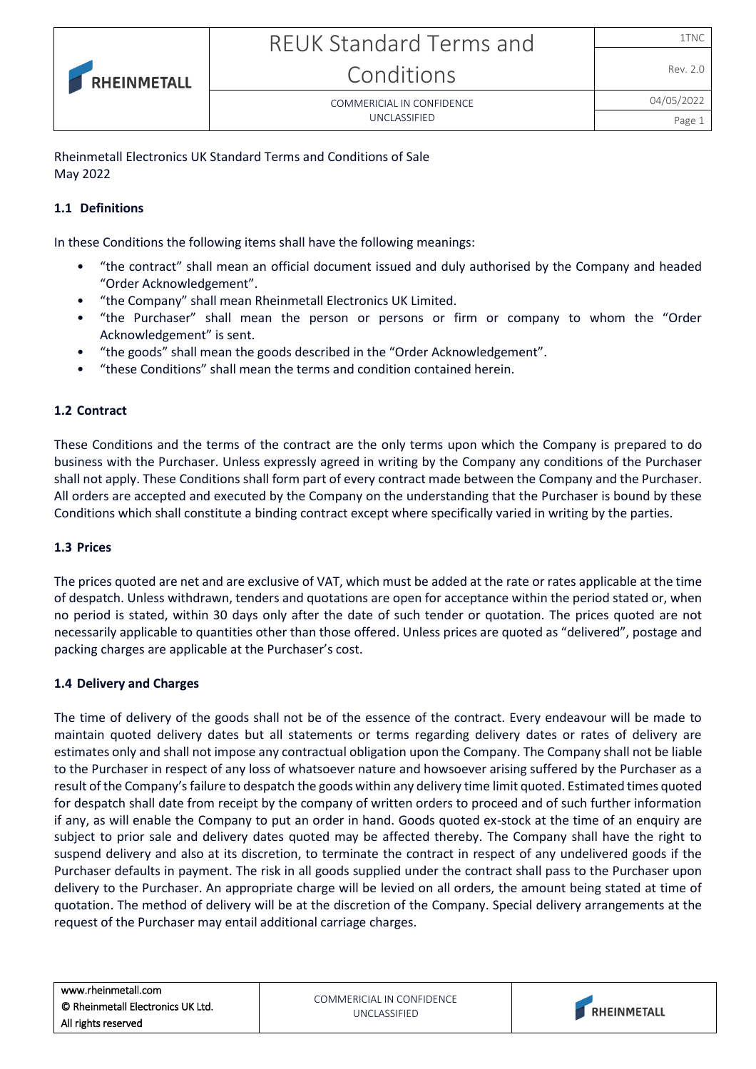COMMERICIAL IN CONFIDENCE UNCLASSIFIED

Page 1

Rheinmetall Electronics UK Standard Terms and Conditions of Sale May 2022

## **1.1 Definitions**

RHEINMETALL

In these Conditions the following items shall have the following meanings:

- "the contract" shall mean an official document issued and duly authorised by the Company and headed "Order Acknowledgement".
- "the Company" shall mean Rheinmetall Electronics UK Limited.
- "the Purchaser" shall mean the person or persons or firm or company to whom the "Order Acknowledgement" is sent.
- "the goods" shall mean the goods described in the "Order Acknowledgement".
- "these Conditions" shall mean the terms and condition contained herein.

#### **1.2 Contract**

These Conditions and the terms of the contract are the only terms upon which the Company is prepared to do business with the Purchaser. Unless expressly agreed in writing by the Company any conditions of the Purchaser shall not apply. These Conditions shall form part of every contract made between the Company and the Purchaser. All orders are accepted and executed by the Company on the understanding that the Purchaser is bound by these Conditions which shall constitute a binding contract except where specifically varied in writing by the parties.

#### **1.3 Prices**

The prices quoted are net and are exclusive of VAT, which must be added at the rate or rates applicable at the time of despatch. Unless withdrawn, tenders and quotations are open for acceptance within the period stated or, when no period is stated, within 30 days only after the date of such tender or quotation. The prices quoted are not necessarily applicable to quantities other than those offered. Unless prices are quoted as "delivered", postage and packing charges are applicable at the Purchaser's cost.

#### **1.4 Delivery and Charges**

The time of delivery of the goods shall not be of the essence of the contract. Every endeavour will be made to maintain quoted delivery dates but all statements or terms regarding delivery dates or rates of delivery are estimates only and shall not impose any contractual obligation upon the Company. The Company shall not be liable to the Purchaser in respect of any loss of whatsoever nature and howsoever arising suffered by the Purchaser as a result of the Company's failure to despatch the goods within any delivery time limit quoted. Estimated times quoted for despatch shall date from receipt by the company of written orders to proceed and of such further information if any, as will enable the Company to put an order in hand. Goods quoted ex-stock at the time of an enquiry are subject to prior sale and delivery dates quoted may be affected thereby. The Company shall have the right to suspend delivery and also at its discretion, to terminate the contract in respect of any undelivered goods if the Purchaser defaults in payment. The risk in all goods supplied under the contract shall pass to the Purchaser upon delivery to the Purchaser. An appropriate charge will be levied on all orders, the amount being stated at time of quotation. The method of delivery will be at the discretion of the Company. Special delivery arrangements at the request of the Purchaser may entail additional carriage charges.

COMMERICIAL IN CONFIDENCE UNCLASSIFIED

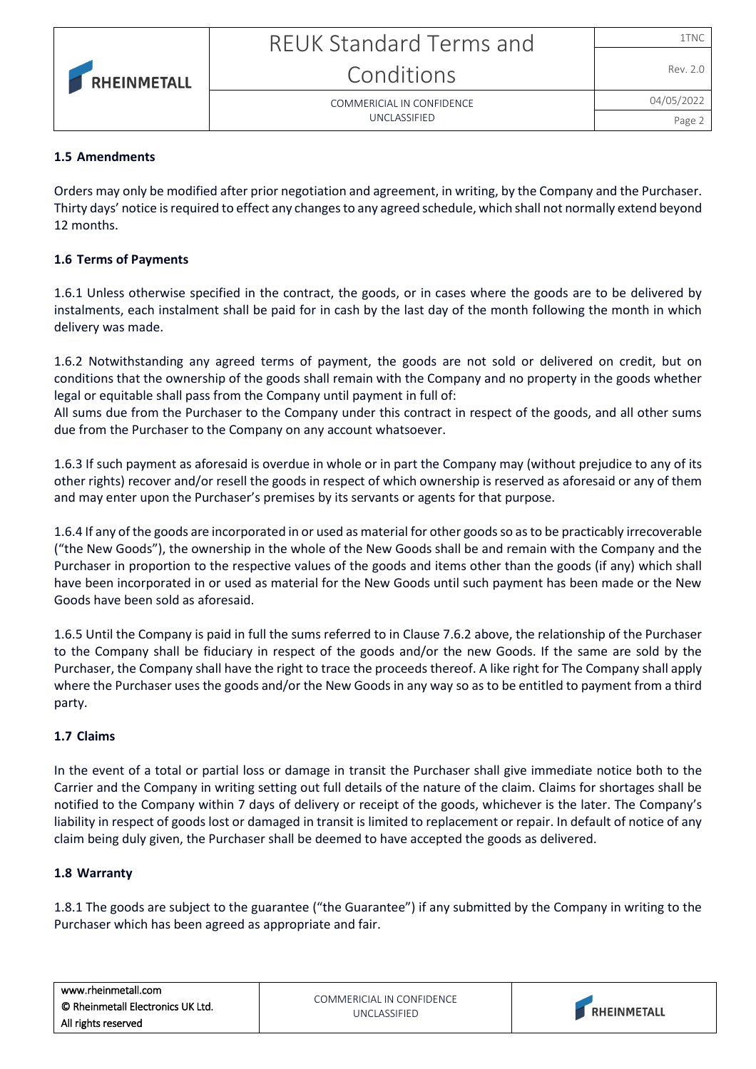# 04/05/2022

Rev. 2.0



COMMERICIAL IN CONFIDENCE UNCLASSIFIED

Page 2

# **1.5 Amendments**

Orders may only be modified after prior negotiation and agreement, in writing, by the Company and the Purchaser. Thirty days' notice is required to effect any changes to any agreed schedule, which shall not normally extend beyond 12 months.

# **1.6 Terms of Payments**

1.6.1 Unless otherwise specified in the contract, the goods, or in cases where the goods are to be delivered by instalments, each instalment shall be paid for in cash by the last day of the month following the month in which delivery was made.

1.6.2 Notwithstanding any agreed terms of payment, the goods are not sold or delivered on credit, but on conditions that the ownership of the goods shall remain with the Company and no property in the goods whether legal or equitable shall pass from the Company until payment in full of:

All sums due from the Purchaser to the Company under this contract in respect of the goods, and all other sums due from the Purchaser to the Company on any account whatsoever.

1.6.3 If such payment as aforesaid is overdue in whole or in part the Company may (without prejudice to any of its other rights) recover and/or resell the goods in respect of which ownership is reserved as aforesaid or any of them and may enter upon the Purchaser's premises by its servants or agents for that purpose.

1.6.4 If any of the goods are incorporated in or used as material for other goods so as to be practicably irrecoverable ("the New Goods"), the ownership in the whole of the New Goods shall be and remain with the Company and the Purchaser in proportion to the respective values of the goods and items other than the goods (if any) which shall have been incorporated in or used as material for the New Goods until such payment has been made or the New Goods have been sold as aforesaid.

1.6.5 Until the Company is paid in full the sums referred to in Clause 7.6.2 above, the relationship of the Purchaser to the Company shall be fiduciary in respect of the goods and/or the new Goods. If the same are sold by the Purchaser, the Company shall have the right to trace the proceeds thereof. A like right for The Company shall apply where the Purchaser uses the goods and/or the New Goods in any way so as to be entitled to payment from a third party.

# **1.7 Claims**

In the event of a total or partial loss or damage in transit the Purchaser shall give immediate notice both to the Carrier and the Company in writing setting out full details of the nature of the claim. Claims for shortages shall be notified to the Company within 7 days of delivery or receipt of the goods, whichever is the later. The Company's liability in respect of goods lost or damaged in transit is limited to replacement or repair. In default of notice of any claim being duly given, the Purchaser shall be deemed to have accepted the goods as delivered.

# **1.8 Warranty**

1.8.1 The goods are subject to the guarantee ("the Guarantee") if any submitted by the Company in writing to the Purchaser which has been agreed as appropriate and fair.

| www.rheinmetall.com               | COMMERICIAL IN CONFIDENCE<br>UNCLASSIFIED |                    |
|-----------------------------------|-------------------------------------------|--------------------|
| © Rheinmetall Electronics UK Ltd. |                                           | <b>RHEINMETALL</b> |
| All rights reserved               |                                           |                    |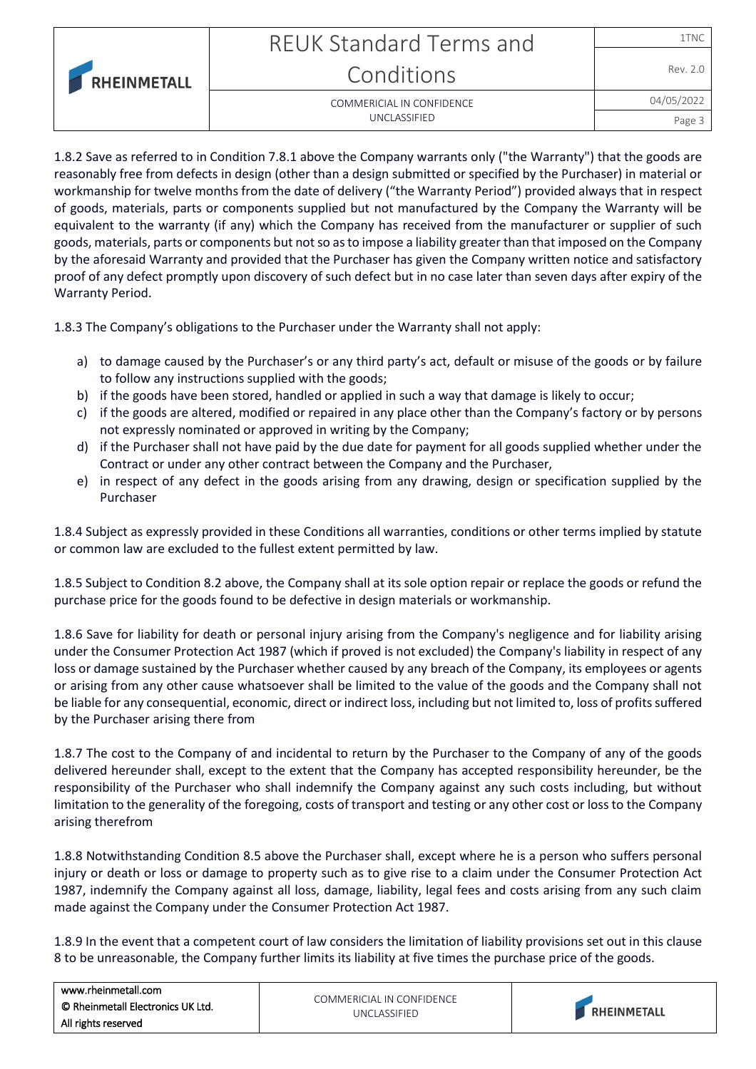|                    | <b>REUK Standard Terms and</b> | 1TNC       |
|--------------------|--------------------------------|------------|
| <b>RHEINMETALL</b> | Conditions                     | Rev. 2.0   |
|                    | COMMERICIAL IN CONFIDENCE      | 04/05/2022 |
|                    | UNCLASSIFIED                   | Page       |

1.8.2 Save as referred to in Condition 7.8.1 above the Company warrants only ("the Warranty") that the goods are reasonably free from defects in design (other than a design submitted or specified by the Purchaser) in material or workmanship for twelve months from the date of delivery ("the Warranty Period") provided always that in respect of goods, materials, parts or components supplied but not manufactured by the Company the Warranty will be equivalent to the warranty (if any) which the Company has received from the manufacturer or supplier of such goods, materials, parts or components but not so as to impose a liability greater than that imposed on the Company by the aforesaid Warranty and provided that the Purchaser has given the Company written notice and satisfactory proof of any defect promptly upon discovery of such defect but in no case later than seven days after expiry of the Warranty Period.

1.8.3 The Company's obligations to the Purchaser under the Warranty shall not apply:

- a) to damage caused by the Purchaser's or any third party's act, default or misuse of the goods or by failure to follow any instructions supplied with the goods;
- b) if the goods have been stored, handled or applied in such a way that damage is likely to occur;
- c) if the goods are altered, modified or repaired in any place other than the Company's factory or by persons not expressly nominated or approved in writing by the Company;
- d) if the Purchaser shall not have paid by the due date for payment for all goods supplied whether under the Contract or under any other contract between the Company and the Purchaser,
- e) in respect of any defect in the goods arising from any drawing, design or specification supplied by the Purchaser

1.8.4 Subject as expressly provided in these Conditions all warranties, conditions or other terms implied by statute or common law are excluded to the fullest extent permitted by law.

1.8.5 Subject to Condition 8.2 above, the Company shall at its sole option repair or replace the goods or refund the purchase price for the goods found to be defective in design materials or workmanship.

1.8.6 Save for liability for death or personal injury arising from the Company's negligence and for liability arising under the Consumer Protection Act 1987 (which if proved is not excluded) the Company's liability in respect of any loss or damage sustained by the Purchaser whether caused by any breach of the Company, its employees or agents or arising from any other cause whatsoever shall be limited to the value of the goods and the Company shall not be liable for any consequential, economic, direct or indirect loss, including but not limited to, loss of profits suffered by the Purchaser arising there from

1.8.7 The cost to the Company of and incidental to return by the Purchaser to the Company of any of the goods delivered hereunder shall, except to the extent that the Company has accepted responsibility hereunder, be the responsibility of the Purchaser who shall indemnify the Company against any such costs including, but without limitation to the generality of the foregoing, costs of transport and testing or any other cost or loss to the Company arising therefrom

1.8.8 Notwithstanding Condition 8.5 above the Purchaser shall, except where he is a person who suffers personal injury or death or loss or damage to property such as to give rise to a claim under the Consumer Protection Act 1987, indemnify the Company against all loss, damage, liability, legal fees and costs arising from any such claim made against the Company under the Consumer Protection Act 1987.

1.8.9 In the event that a competent court of law considers the limitation of liability provisions set out in this clause 8 to be unreasonable, the Company further limits its liability at five times the purchase price of the goods.

| www.rheinmetall.com               |                                           |                    |
|-----------------------------------|-------------------------------------------|--------------------|
| © Rheinmetall Electronics UK Ltd. | COMMERICIAL IN CONFIDENCE<br>UNCLASSIFIED | <b>RHEINMETALL</b> |
| All rights reserved               |                                           |                    |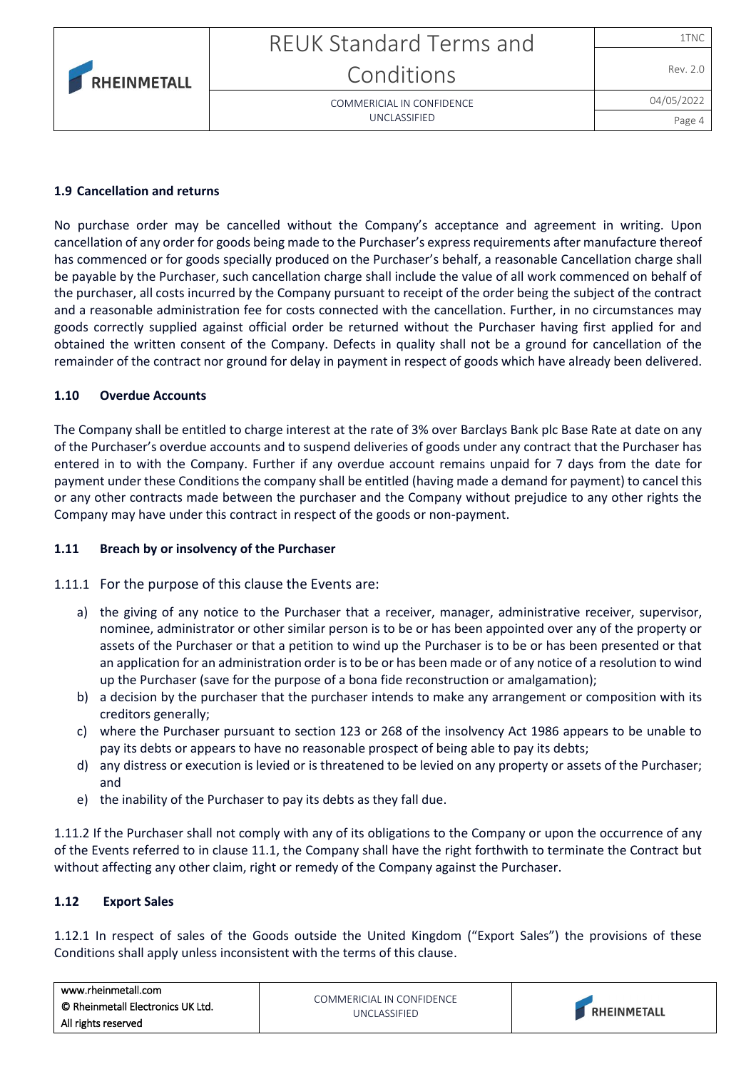| <b>RHEINMETALL</b> |
|--------------------|

# REUK Standard Terms and Conditions

COMMERICIAL IN CONFIDENCE UNCLASSIFIED

Rev. 2.0

#### **1.9 Cancellation and returns**

No purchase order may be cancelled without the Company's acceptance and agreement in writing. Upon cancellation of any order for goods being made to the Purchaser's express requirements after manufacture thereof has commenced or for goods specially produced on the Purchaser's behalf, a reasonable Cancellation charge shall be payable by the Purchaser, such cancellation charge shall include the value of all work commenced on behalf of the purchaser, all costs incurred by the Company pursuant to receipt of the order being the subject of the contract and a reasonable administration fee for costs connected with the cancellation. Further, in no circumstances may goods correctly supplied against official order be returned without the Purchaser having first applied for and obtained the written consent of the Company. Defects in quality shall not be a ground for cancellation of the remainder of the contract nor ground for delay in payment in respect of goods which have already been delivered.

### **1.10 Overdue Accounts**

The Company shall be entitled to charge interest at the rate of 3% over Barclays Bank plc Base Rate at date on any of the Purchaser's overdue accounts and to suspend deliveries of goods under any contract that the Purchaser has entered in to with the Company. Further if any overdue account remains unpaid for 7 days from the date for payment under these Conditions the company shall be entitled (having made a demand for payment) to cancel this or any other contracts made between the purchaser and the Company without prejudice to any other rights the Company may have under this contract in respect of the goods or non-payment.

# **1.11 Breach by or insolvency of the Purchaser**

1.11.1 For the purpose of this clause the Events are:

- a) the giving of any notice to the Purchaser that a receiver, manager, administrative receiver, supervisor, nominee, administrator or other similar person is to be or has been appointed over any of the property or assets of the Purchaser or that a petition to wind up the Purchaser is to be or has been presented or that an application for an administration order is to be or has been made or of any notice of a resolution to wind up the Purchaser (save for the purpose of a bona fide reconstruction or amalgamation);
- b) a decision by the purchaser that the purchaser intends to make any arrangement or composition with its creditors generally;
- c) where the Purchaser pursuant to section 123 or 268 of the insolvency Act 1986 appears to be unable to pay its debts or appears to have no reasonable prospect of being able to pay its debts;
- d) any distress or execution is levied or is threatened to be levied on any property or assets of the Purchaser; and
- e) the inability of the Purchaser to pay its debts as they fall due.

1.11.2 If the Purchaser shall not comply with any of its obligations to the Company or upon the occurrence of any of the Events referred to in clause 11.1, the Company shall have the right forthwith to terminate the Contract but without affecting any other claim, right or remedy of the Company against the Purchaser.

#### **1.12 Export Sales**

1.12.1 In respect of sales of the Goods outside the United Kingdom ("Export Sales") the provisions of these Conditions shall apply unless inconsistent with the terms of this clause.

| www.rheinmetall.com               |                                           |                    |
|-----------------------------------|-------------------------------------------|--------------------|
| © Rheinmetall Electronics UK Ltd. | COMMERICIAL IN CONFIDENCE<br>UNCLASSIFIED | <b>RHEINMETALL</b> |
| All rights reserved               |                                           |                    |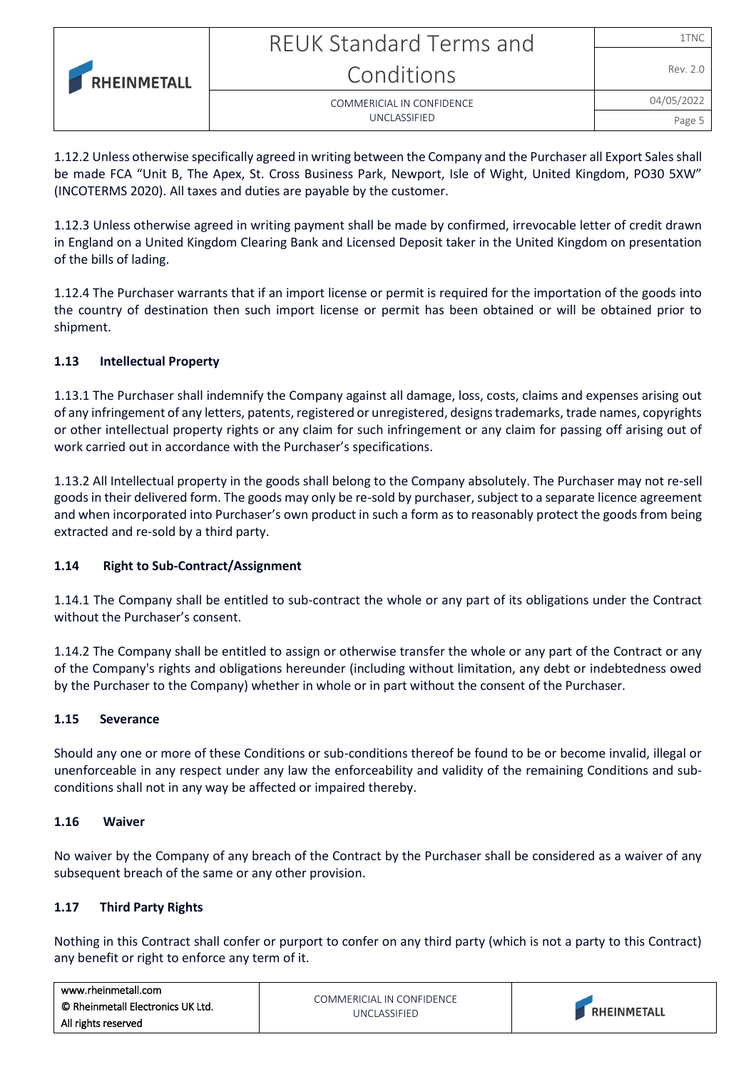|                    | <b>REUK Standard Terms and</b> | 1TNC       |
|--------------------|--------------------------------|------------|
| <b>RHEINMETALL</b> | Conditions                     | Rev. 2.0   |
|                    | COMMERICIAL IN CONFIDENCE      | 04/05/2022 |
|                    | <b>UNCLASSIFIED</b>            | Page :     |

1.12.2 Unless otherwise specifically agreed in writing between the Company and the Purchaser all Export Sales shall be made FCA "Unit B, The Apex, St. Cross Business Park, Newport, Isle of Wight, United Kingdom, PO30 5XW" (INCOTERMS 2020). All taxes and duties are payable by the customer.

1.12.3 Unless otherwise agreed in writing payment shall be made by confirmed, irrevocable letter of credit drawn in England on a United Kingdom Clearing Bank and Licensed Deposit taker in the United Kingdom on presentation of the bills of lading.

1.12.4 The Purchaser warrants that if an import license or permit is required for the importation of the goods into the country of destination then such import license or permit has been obtained or will be obtained prior to shipment.

# **1.13 Intellectual Property**

1.13.1 The Purchaser shall indemnify the Company against all damage, loss, costs, claims and expenses arising out of any infringement of any letters, patents, registered or unregistered, designs trademarks, trade names, copyrights or other intellectual property rights or any claim for such infringement or any claim for passing off arising out of work carried out in accordance with the Purchaser's specifications.

1.13.2 All Intellectual property in the goods shall belong to the Company absolutely. The Purchaser may not re-sell goods in their delivered form. The goods may only be re-sold by purchaser, subject to a separate licence agreement and when incorporated into Purchaser's own product in such a form as to reasonably protect the goods from being extracted and re-sold by a third party.

# **1.14 Right to Sub-Contract/Assignment**

1.14.1 The Company shall be entitled to sub-contract the whole or any part of its obligations under the Contract without the Purchaser's consent.

1.14.2 The Company shall be entitled to assign or otherwise transfer the whole or any part of the Contract or any of the Company's rights and obligations hereunder (including without limitation, any debt or indebtedness owed by the Purchaser to the Company) whether in whole or in part without the consent of the Purchaser.

#### **1.15 Severance**

Should any one or more of these Conditions or sub-conditions thereof be found to be or become invalid, illegal or unenforceable in any respect under any law the enforceability and validity of the remaining Conditions and subconditions shall not in any way be affected or impaired thereby.

#### **1.16 Waiver**

No waiver by the Company of any breach of the Contract by the Purchaser shall be considered as a waiver of any subsequent breach of the same or any other provision.

# **1.17 Third Party Rights**

Nothing in this Contract shall confer or purport to confer on any third party (which is not a party to this Contract) any benefit or right to enforce any term of it.

| www.rheinmetall.com               |                                            |                    |
|-----------------------------------|--------------------------------------------|--------------------|
| © Rheinmetall Electronics UK Ltd. | COMMERICIAL IN CONFIDENCE<br>UNCLASSIFIED. | <b>RHEINMETALL</b> |
| All rights reserved               |                                            |                    |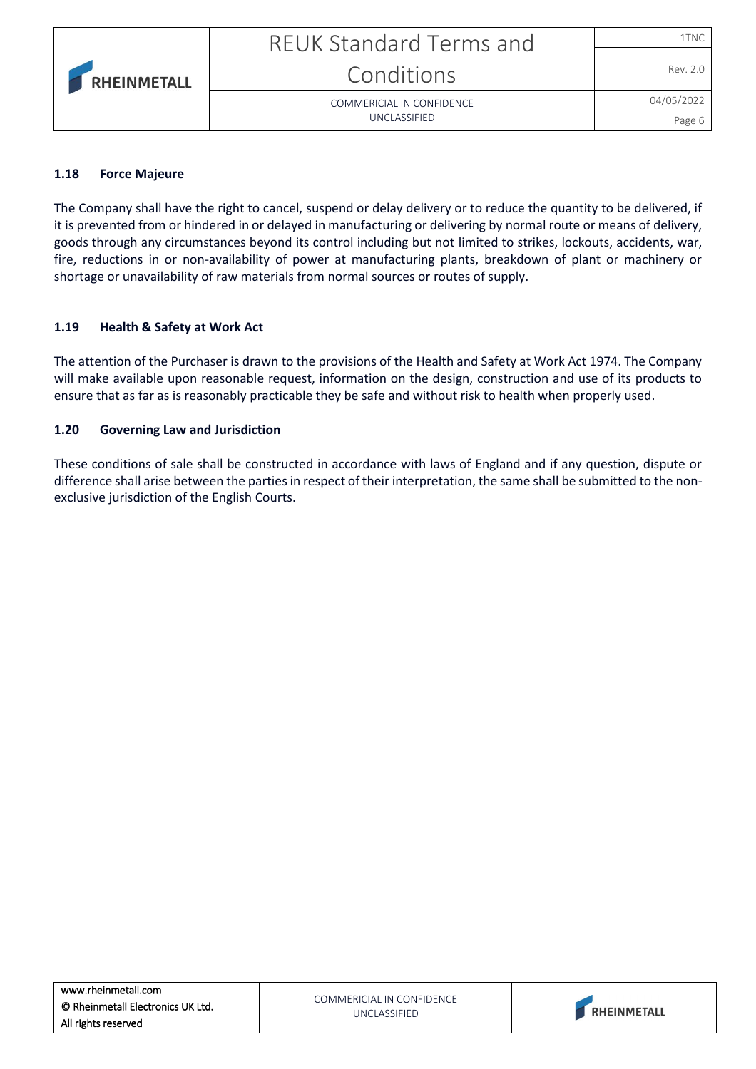#### **1.18 Force Majeure**

The Company shall have the right to cancel, suspend or delay delivery or to reduce the quantity to be delivered, if it is prevented from or hindered in or delayed in manufacturing or delivering by normal route or means of delivery, goods through any circumstances beyond its control including but not limited to strikes, lockouts, accidents, war, fire, reductions in or non-availability of power at manufacturing plants, breakdown of plant or machinery or shortage or unavailability of raw materials from normal sources or routes of supply.

#### **1.19 Health & Safety at Work Act**

The attention of the Purchaser is drawn to the provisions of the Health and Safety at Work Act 1974. The Company will make available upon reasonable request, information on the design, construction and use of its products to ensure that as far as is reasonably practicable they be safe and without risk to health when properly used.

#### **1.20 Governing Law and Jurisdiction**

These conditions of sale shall be constructed in accordance with laws of England and if any question, dispute or difference shall arise between the parties in respect of their interpretation, the same shall be submitted to the nonexclusive jurisdiction of the English Courts.



Page 6